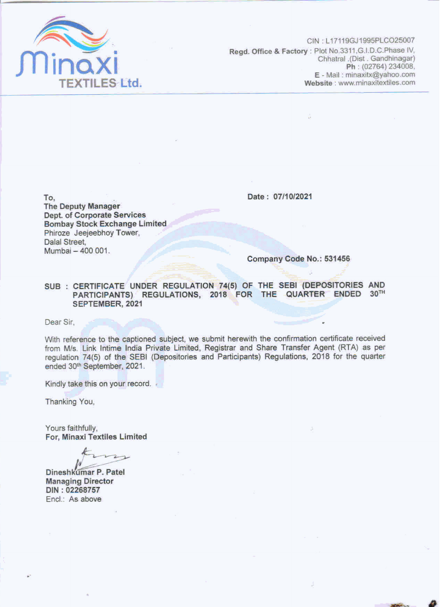

CIN: L17119GJ1995PLCO25007 Regd. Office & Factory : Plot No.3311, G.I.D.C.Phase IV, Chhatral .(Dist . Gandhinagar) Ph: (02764) 234008, E - Mail: minaxitx@yahoo.com Website: www.minaxitextiles.com

Date: 07/10/2021

To, **The Deputy Manager** Dept. of Corporate Services **Bombay Stock Exchange Limited** Phiroze Jeejeebhoy Tower, Dalal Street, Mumbai - 400 001.

Company Code No.: 531456

SUB: CERTIFICATE UNDER REGULATION 74(5) OF THE SEBI (DEPOSITORIES AND PARTICIPANTS) REGULATIONS, 2018 FOR THE QUARTER ENDED 30TH SEPTEMBER, 2021

Dear Sir,

With reference to the captioned subject, we submit herewith the confirmation certificate received from M/s. Link Intime India Private Limited, Registrar and Share Transfer Agent (RTA) as per regulation 74(5) of the SEBI (Depositories and Participants) Regulations, 2018 for the quarter ended 30th September, 2021.

Kindly take this on your record.

Thanking You,

Yours faithfully, For, Minaxi Textiles Limited

Dineshkumar P. Patel **Managing Director** DIN: 02268757 Encl.: As above